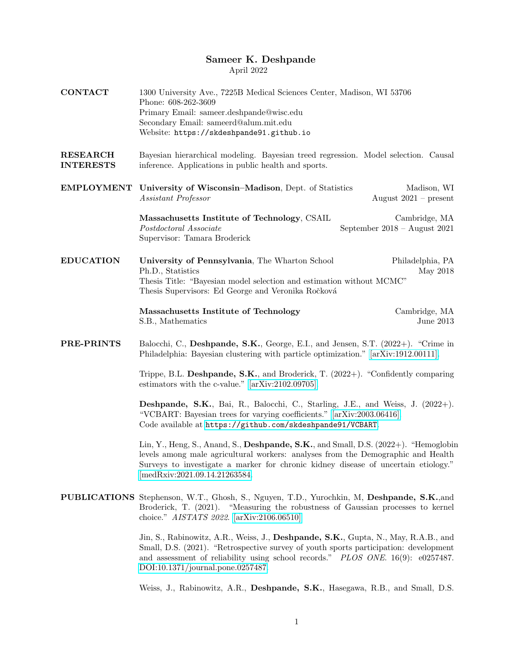## Sameer K. Deshpande

April 2022

| <b>CONTACT</b>                      | 1300 University Ave., 7225B Medical Sciences Center, Madison, WI 53706<br>Phone: 608-262-3609<br>Primary Email: sameer.deshpande@wisc.edu<br>Secondary Email: sameerd@alum.mit.edu<br>Website: https://skdeshpande91.github.io                                                                     |  |  |
|-------------------------------------|----------------------------------------------------------------------------------------------------------------------------------------------------------------------------------------------------------------------------------------------------------------------------------------------------|--|--|
| <b>RESEARCH</b><br><b>INTERESTS</b> | Bayesian hierarchical modeling. Bayesian treed regression. Model selection. Causal<br>inference. Applications in public health and sports.                                                                                                                                                         |  |  |
| <b>EMPLOYMENT</b>                   | University of Wisconsin–Madison, Dept. of Statistics<br>Madison, WI<br>August $2021$ – present<br>Assistant Professor                                                                                                                                                                              |  |  |
|                                     | Massachusetts Institute of Technology, CSAIL<br>Cambridge, MA<br>Postdoctoral Associate<br>September $2018 -$ August $2021$<br>Supervisor: Tamara Broderick                                                                                                                                        |  |  |
| <b>EDUCATION</b>                    | University of Pennsylvania, The Wharton School<br>Philadelphia, PA<br>Ph.D., Statistics<br>May 2018<br>Thesis Title: "Bayesian model selection and estimation without MCMC"<br>Thesis Supervisors: Ed George and Veronika Ročková                                                                  |  |  |
|                                     | Massachusetts Institute of Technology<br>Cambridge, MA<br>S.B., Mathematics<br>June $2013$                                                                                                                                                                                                         |  |  |
| PRE-PRINTS                          | Balocchi, C., Deshpande, S.K., George, E.I., and Jensen, S.T. (2022+). "Crime in<br>Philadelphia: Bayesian clustering with particle optimization." [arXiv:1912.00111].                                                                                                                             |  |  |
|                                     | Trippe, B.L. Deshpande, S.K., and Broderick, T. $(2022+)$ . "Confidently comparing<br>estimators with the c-value." $[\arXiv:2102.09705]$ .                                                                                                                                                        |  |  |
|                                     | <b>Deshpande, S.K.</b> , Bai, R., Balocchi, C., Starling, J.E., and Weiss, J. (2022+).<br>"VCBART: Bayesian trees for varying coefficients." [arXiv:2003.06416].<br>Code available at https://github.com/skdeshpande91/VCBART.                                                                     |  |  |
|                                     | Lin, Y., Heng, S., Anand, S., Deshpande, S.K., and Small, D.S. (2022+). "Hemoglobin<br>levels among male agricultural workers: analyses from the Demographic and Health<br>Surveys to investigate a marker for chronic kidney disease of uncertain etiology."<br>[medRxiv:2021.09.14.21263584.     |  |  |
|                                     | PUBLICATIONS Stephenson, W.T., Ghosh, S., Nguyen, T.D., Yurochkin, M, Deshpande, S.K., and<br>Broderick, T. (2021). "Measuring the robustness of Gaussian processes to kernel<br>choice." AISTATS 2022. [arXiv:2106.06510]                                                                         |  |  |
|                                     | Jin, S., Rabinowitz, A.R., Weiss, J., Deshpande, S.K., Gupta, N., May, R.A.B., and<br>Small, D.S. (2021). "Retrospective survey of youth sports participation: development<br>and assessment of reliability using school records." PLOS ONE. 16(9): e0257487.<br>DOI:10.1371/journal.pone.0257487. |  |  |
|                                     | Weiss, J., Rabinowitz, A.R., Deshpande, S.K., Hasegawa, R.B., and Small, D.S.                                                                                                                                                                                                                      |  |  |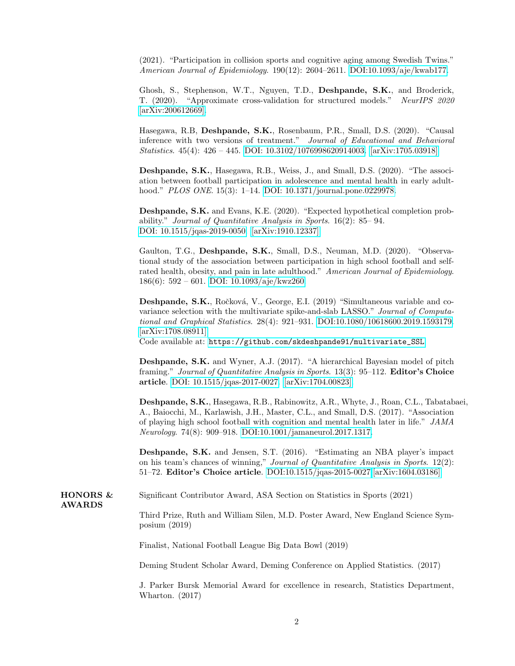(2021). "Participation in collision sports and cognitive aging among Swedish Twins." American Journal of Epidemiology. 190(12): 2604–2611. [DOI:10.1093/aje/kwab177.](https://doi.org/10.1093/aje/kwab177)

Ghosh, S., Stephenson, W.T., Nguyen, T.D., Deshpande, S.K., and Broderick, T. (2020). "Approximate cross-validation for structured models." NeurIPS 2020 [\[arXiv:200612669\].](https://arxiv.org/abs/2006.12669)

Hasegawa, R.B, Deshpande, S.K., Rosenbaum, P.R., Small, D.S. (2020). "Causal inference with two versions of treatment." Journal of Educational and Behavioral Statistics. 45(4): 426 – 445. [DOI: 10.3102/1076998620914003.](https://doi.org/10.3102/1076998620914003) [\[arXiv:1705.03918\]](https://arxiv.org/abs/1705.03918)

Deshpande, S.K., Hasegawa, R.B., Weiss, J., and Small, D.S. (2020). "The association between football participation in adolescence and mental health in early adult-hood." PLOS ONE. 15(3): 1–14. [DOI: 10.1371/journal.pone.0229978.](https://doi.org/10.1371/journal.pone.0229978)

Deshpande, S.K. and Evans, K.E. (2020). "Expected hypothetical completion probability." Journal of Quantitative Analysis in Sports. 16(2): 85– 94. [DOI: 10.1515/jqas-2019-0050.](https://doi.org/10.1515/jqas-2019-0050) [\[arXiv:1910.12337\].](https://arxiv.org/abs/1910.12337)

Gaulton, T.G., Deshpande, S.K., Small, D.S., Neuman, M.D. (2020). "Observational study of the association between participation in high school football and selfrated health, obesity, and pain in late adulthood." American Journal of Epidemiology. 186(6): 592 – 601. [DOI: 10.1093/aje/kwz260.](https://doi.org/10.1093/aje/kwz260)

Deshpande, S.K., Ročková, V., George, E.I. (2019) "Simultaneous variable and covariance selection with the multivariate spike-and-slab LASSO." Journal of Computational and Graphical Statistics. 28(4): 921–931. [DOI:10.1080/10618600.2019.1593179.](https://doi.org/10.1080/10618600.2019.1593179) [\[arXiv:1708.08911\].](https://arxiv.org/abs/1708.08911)

Code available at: [https://github.com/skdeshpande91/multivariate\\_SSL](https://github.com/skdeshpande91/multivariate_SSL)

Deshpande, S.K. and Wyner, A.J. (2017). "A hierarchical Bayesian model of pitch framing." Journal of Quantitative Analysis in Sports. 13(3): 95–112. Editor's Choice article. [DOI: 10.1515/jqas-2017-0027.](https://doi.org/10.1515/jqas-2017-0027) [\[arXiv:1704.00823\].](https://arxiv.org/abs/1704.00823)

Deshpande, S.K., Hasegawa, R.B., Rabinowitz, A.R., Whyte, J., Roan, C.L., Tabatabaei, A., Baiocchi, M., Karlawish, J.H., Master, C.L., and Small, D.S. (2017). "Association of playing high school football with cognition and mental health later in life." JAMA Neurology. 74(8): 909–918. [DOI:10.1001/jamaneurol.2017.1317.](https://doi.org/10.1001/jamaneurol.2017.1317)

Deshpande, S.K. and Jensen, S.T. (2016). "Estimating an NBA player's impact on his team's chances of winning," Journal of Quantitative Analysis in Sports. 12(2): 51–72. Editor's Choice article. [DOI:10.1515/jqas-2015-0027.](https://doi.org/10.1515/jqas-2015-0027)[\[arXiv:1604.03186\]](https://arxiv.org/abs/1604.03186)

HONORS & Significant Contributor Award, ASA Section on Statistics in Sports (2021)

AWARDS

Third Prize, Ruth and William Silen, M.D. Poster Award, New England Science Symposium (2019)

Finalist, National Football League Big Data Bowl (2019)

Deming Student Scholar Award, Deming Conference on Applied Statistics. (2017)

J. Parker Bursk Memorial Award for excellence in research, Statistics Department, Wharton. (2017)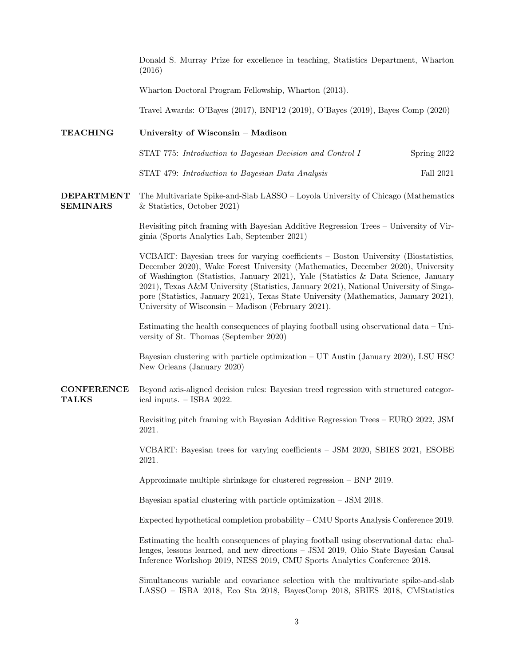Donald S. Murray Prize for excellence in teaching, Statistics Department, Wharton (2016)

Wharton Doctoral Program Fellowship, Wharton (2013).

Travel Awards: O'Bayes (2017), BNP12 (2019), O'Bayes (2019), Bayes Comp (2020)

## TEACHING University of Wisconsin – Madison

| STAT 775: Introduction to Bayesian Decision and Control I | Spring 2022 |
|-----------------------------------------------------------|-------------|
|-----------------------------------------------------------|-------------|

STAT 479: *Introduction to Bayesian Data Analysis* Fall 2021

DEPARTMENT SEMINARS The Multivariate Spike-and-Slab LASSO – Loyola University of Chicago (Mathematics & Statistics, October 2021)

> Revisiting pitch framing with Bayesian Additive Regression Trees – University of Virginia (Sports Analytics Lab, September 2021)

> VCBART: Bayesian trees for varying coefficients – Boston University (Biostatistics, December 2020), Wake Forest University (Mathematics, December 2020), University of Washington (Statistics, January 2021), Yale (Statistics & Data Science, January 2021), Texas A&M University (Statistics, January 2021), National University of Singapore (Statistics, January 2021), Texas State University (Mathematics, January 2021), University of Wisconsin – Madison (February 2021).

> Estimating the health consequences of playing football using observational data – University of St. Thomas (September 2020)

> Bayesian clustering with particle optimization – UT Austin (January 2020), LSU HSC New Orleans (January 2020)

**CONFERENCE** TALKS Beyond axis-aligned decision rules: Bayesian treed regression with structured categorical inputs. – ISBA 2022.

> Revisiting pitch framing with Bayesian Additive Regression Trees – EURO 2022, JSM 2021.

> VCBART: Bayesian trees for varying coefficients – JSM 2020, SBIES 2021, ESOBE 2021.

Approximate multiple shrinkage for clustered regression – BNP 2019.

Bayesian spatial clustering with particle optimization – JSM 2018.

Expected hypothetical completion probability – CMU Sports Analysis Conference 2019.

Estimating the health consequences of playing football using observational data: challenges, lessons learned, and new directions – JSM 2019, Ohio State Bayesian Causal Inference Workshop 2019, NESS 2019, CMU Sports Analytics Conference 2018.

Simultaneous variable and covariance selection with the multivariate spike-and-slab LASSO – ISBA 2018, Eco Sta 2018, BayesComp 2018, SBIES 2018, CMStatistics